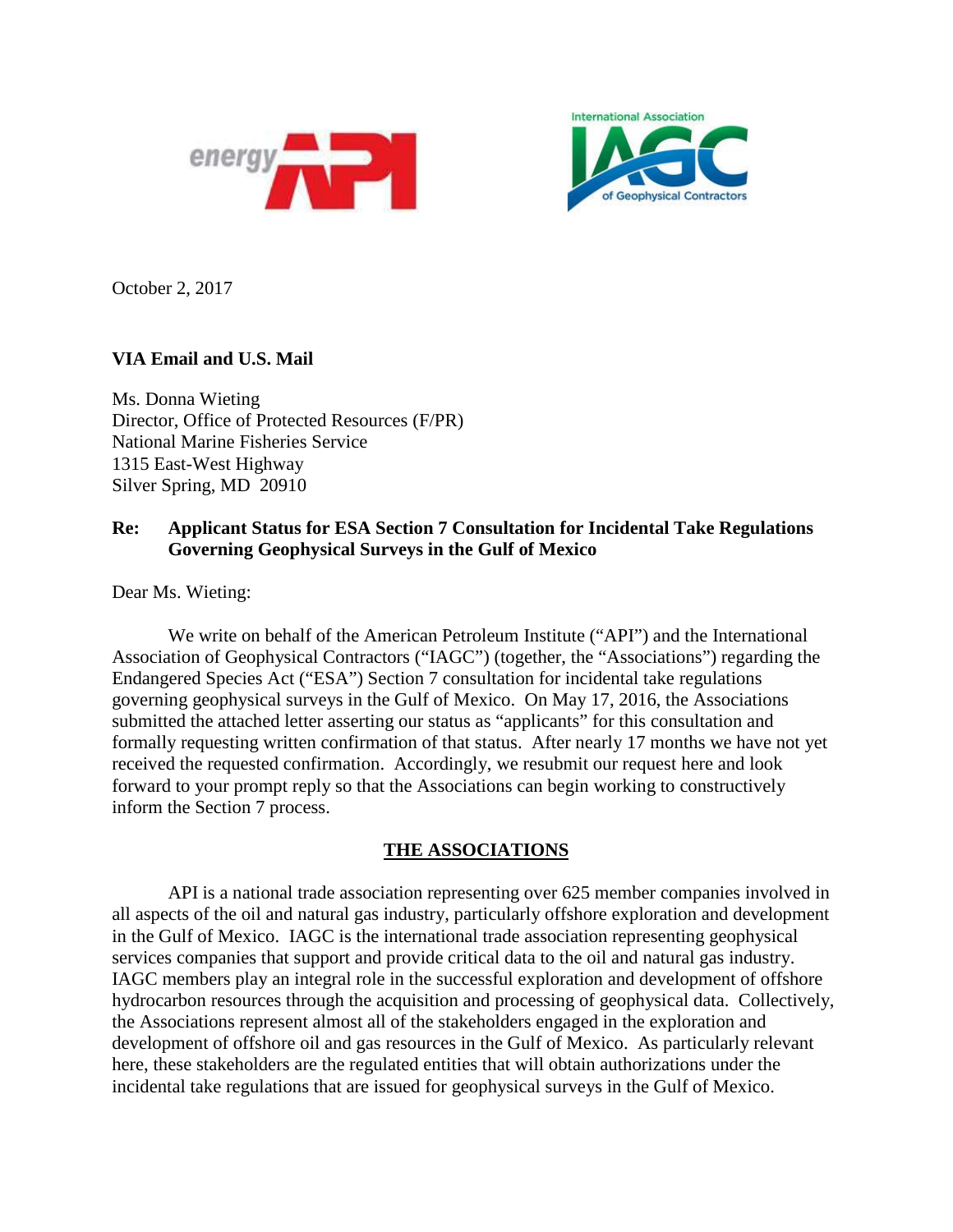



October 2, 2017

## **VIA Email and U.S. Mail**

Ms. Donna Wieting Director, Office of Protected Resources (F/PR) National Marine Fisheries Service 1315 East-West Highway Silver Spring, MD 20910

## **Re: Applicant Status for ESA Section 7 Consultation for Incidental Take Regulations Governing Geophysical Surveys in the Gulf of Mexico**

Dear Ms. Wieting:

We write on behalf of the American Petroleum Institute ("API") and the International Association of Geophysical Contractors ("IAGC") (together, the "Associations") regarding the Endangered Species Act ("ESA") Section 7 consultation for incidental take regulations governing geophysical surveys in the Gulf of Mexico. On May 17, 2016, the Associations submitted the attached letter asserting our status as "applicants" for this consultation and formally requesting written confirmation of that status. After nearly 17 months we have not yet received the requested confirmation. Accordingly, we resubmit our request here and look forward to your prompt reply so that the Associations can begin working to constructively inform the Section 7 process.

## **THE ASSOCIATIONS**

API is a national trade association representing over 625 member companies involved in all aspects of the oil and natural gas industry, particularly offshore exploration and development in the Gulf of Mexico. IAGC is the international trade association representing geophysical services companies that support and provide critical data to the oil and natural gas industry. IAGC members play an integral role in the successful exploration and development of offshore hydrocarbon resources through the acquisition and processing of geophysical data. Collectively, the Associations represent almost all of the stakeholders engaged in the exploration and development of offshore oil and gas resources in the Gulf of Mexico. As particularly relevant here, these stakeholders are the regulated entities that will obtain authorizations under the incidental take regulations that are issued for geophysical surveys in the Gulf of Mexico.